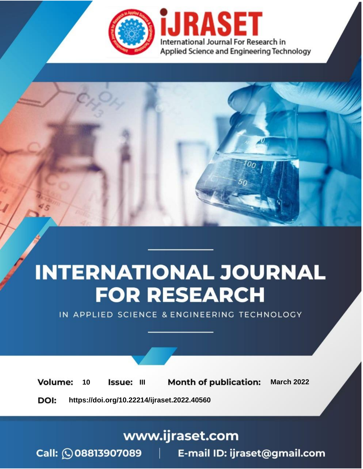

# **INTERNATIONAL JOURNAL FOR RESEARCH**

IN APPLIED SCIENCE & ENGINEERING TECHNOLOGY

10 **Issue: III Month of publication:** March 2022 **Volume:** 

**https://doi.org/10.22214/ijraset.2022.40560**DOI:

www.ijraset.com

Call: 008813907089 | E-mail ID: ijraset@gmail.com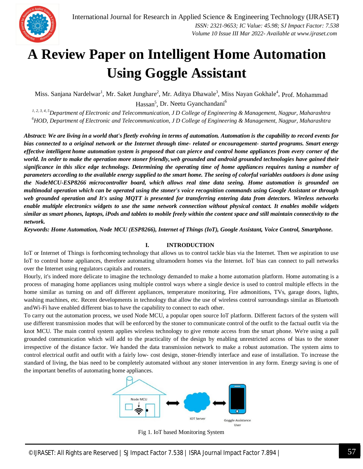

### **A Review Paper on Intelligent Home Automation Using Goggle Assistant**

Miss. Sanjana Nardelwar<sup>1</sup>, Mr. Saket Junghare<sup>2</sup>, Mr. Aditya Dhawale<sup>3</sup>, Miss Nayan Gokhale<sup>4</sup>, Prof. Mohammad Hassan<sup>5</sup>, Dr. Neetu Gyanchandani<sup>6</sup>

*1, 2, 3, 4, 5Department of Electronic and Telecommunication, J D College of Engineering & Management, Nagpur, Maharashtra <sup>6</sup>HOD, Department of Electronic and Telecommunication, J D College of Engineering & Management, Nagpur, Maharashtra*

*Abstract: We are living in a world that's fleetly evolving in terms of automation. Automation is the capability to record events for bias connected to a original network or the Internet through time- related or encouragement- started programs. Smart energy effective intelligent home automation system is proposed that can pierce and control home appliances from every corner of the world. In order to make the operation more stoner friendly,web grounded and android grounded technologies have gained their significance in this slice edge technology. Determining the operating time of home appliances requires tuning a number of parameters according to the available energy supplied to the smart home. The seeing of colorful variables outdoors is done using the NodeMCU-ESP8266 microcontroller board, which allows real time data seeing. Home automation is grounded on multimodal operation which can be operated using the stoner's voice recognition commands using Google Assistant or through web grounded operation and It's using MQTT is presented for transferring entering data from detectors. Wireless networks enable multiple electronics widgets to use the same network connection without physical contact. It enables mobile widgets similar as smart phones, laptops, iPods and tablets to mobile freely within the content space and still maintain connectivity to the network.*

*Keywords: Home Automation, Node MCU (ESP8266), Internet of Things (IoT), Google Assistant, Voice Control, Smartphone.*

#### **I. INTRODUCTION**

IoT or Internet of Things is forthcoming technology that allows us to control tackle bias via the Internet. Then we aspiration to use IoT to control home appliances, therefore automating ultramodern homes via the Internet. IoT bias can connect to pall networks over the Internet using regulators capitals and routers.

Hourly, it's indeed more delicate to imagine the technology demanded to make a home automation platform. Home automating is a process of managing home appliances using multiple control ways where a single device is used to control multiple effects in the home similar as turning on and off different appliances, temperature monitoring, Fire admonitions, TVs, garage doors, lights, washing machines, etc. Recent developments in technology that allow the use of wireless control surroundings similar as Bluetooth andWi-Fi have enabled different bias to have the capability to connect to each other.

To carry out the automation process, we used Node MCU, a popular open source IoT platform. Different factors of the system will use different transmission modes that will be enforced by the stoner to communicate control of the outfit to the factual outfit via the knot MCU. The main control system applies wireless technology to give remote access from the smart phone. We're using a pall grounded communication which will add to the practicality of the design by enabling unrestricted access of bias to the stoner irrespective of the distance factor. We handed the data transmission network to make a robust automation. The system aims to control electrical outfit and outfit with a fairly low- cost design, stoner-friendly interface and ease of installation. To increase the standard of living, the bias need to be completely automated without any stoner intervention in any form. Energy saving is one of the important benefits of automating home appliances.



Fig 1. IoT based Monitoring System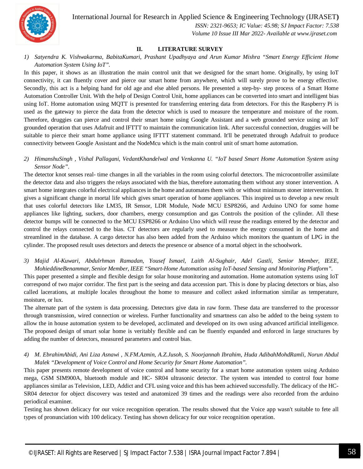

 *ISSN: 2321-9653; IC Value: 45.98; SJ Impact Factor: 7.538*

#### *Volume 10 Issue III Mar 2022- Available at www.ijraset.com*

#### **II. LITERATURE SURVEY**

*1) Satyendra K. Vishwakarma, BabitaKumari, Prashant Upadhyaya and Arun Kumar Mishra "Smart Energy Efficient Home Automation System Using IoT".*

In this paper, it shows as an illustration the main control unit that we designed for the smart home. Originally, by using IoT connectivity, it can fluently cover and pierce our smart home from anywhere, which will surely prove to be energy effective. Secondly, this act is a helping hand for old age and else abled persons. He presented a step-by- step process of a Smart Home Automation Controller Unit. With the help of Design Control Unit, home appliances can be converted into smart and intelligent bias using IoT. Home automation using MQTT is presented for transferring entering data from detectors. For this the Raspberry Pi is used as the gateway to pierce the data from the detector which is used to measure the temperature and moisture of the room. Therefore, druggies can pierce and control their smart home using Google Assistant and a web grounded service using an IoT grounded operation that uses Adafruit and IFTTT to maintain the communication link. After successful connection, druggies will be suitable to pierce their smart home appliance using IFTTT statement command. It'll be penetrated through Adafruit to produce connectivity between Google Assistant and the NodeMcu which is the main control unit of smart home automation.

*2) HimanshuSingh , Vishal Pallagani, VedantKhandelwal and Venkanna U. "IoT based Smart Home Automation System using Sensor Node".*

The detector knot senses real- time changes in all the variables in the room using colorful detectors. The microcontroller assimilate the detector data and also triggers the relays associated with the bias, therefore automating them without any stoner intervention. A smart home integrates colorful electrical appliances in the home and automates them with or without minimum stoner intervention. It gives a significant change in mortal life which gives smart operation of home appliances. This inspired us to develop a new result that uses colorful detectors like LM35, IR Sensor, LDR Module, Node MCU ESP8266, and Arduino UNO for some home appliances like lighting, suckers, door chambers, energy consumption and gas Controls the position of the cylinder. All these detector bumps will be connected to the MCU ESP8266 or Arduino Uno which will reuse the readings entered by the detector and control the relays connected to the bias. CT detectors are regularly used to measure the energy consumed in the home and streamlined in the database. A cargo detector has also been added from the Arduino which monitors the quantum of LPG in the cylinder. The proposed result uses detectors and detects the presence or absence of a mortal object in the schoolwork.

*3) Majid Al-Kuwari, Abdulrhman Ramadan, Yousef Ismael, Laith Al-Sughair, Adel Gastli, Senior Member, IEEE, MohieddineBenammar, Senior Member, IEEE "Smart-Home Automation using IoT-based Sensing and Monitoring Platform".*

This paper presented a simple and flexible design for solar house monitoring and automation. Home automation systems using IoT correspond of two major corridor. The first part is the seeing and data accession part. This is done by placing detectors or bias, also called lacerations, at multiple locales throughout the home to measure and collect asked information similar as temperature, moisture, or lux.

The alternate part of the system is data processing. Detectors give data in raw form. These data are transferred to the processor through transmission, wired connection or wireless. Further functionality and smartness can also be added to the being system to allow the in house automation system to be developed, acclimated and developed on its own using advanced artificial intelligence. The proposed design of smart solar home is veritably flexible and can be fluently expanded and enforced in large structures by adding the number of detectors, measured parameters and control bias.

*4) M. EbrahimAbidi, Ani Liza Asnawi , N.FM.Azmin, A.Z.Jusoh, S. Noorjannah Ibrahim, Huda AdibahMohdRamli, Norun Abdul Malek "Development of Voice Control and Home Security for Smart Home Automation".*

This paper presents remote development of voice control and home security for a smart home automation system using Arduino mega, GSM SIM900A, bluetooth module and HC- SR04 ultrasonic detector. The system was intended to control four home appliances similar as Television, LED, Addict and CFL using voice and this has been achieved successfully. The delicacy of the HC-SR04 detector for object discovery was tested and anatomized 39 times and the readings were also recorded from the arduino periodical examiner.

Testing has shown delicacy for our voice recognition operation. The results showed that the Voice app wasn't suitable to fete all types of pronunciation with 100 delicacy. Testing has shown delicacy for our voice recognition operation.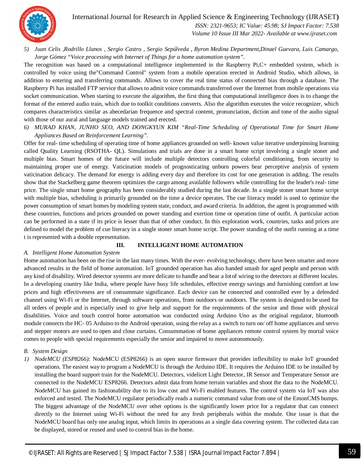

 *ISSN: 2321-9653; IC Value: 45.98; SJ Impact Factor: 7.538*

 *Volume 10 Issue III Mar 2022- Available at www.ijraset.com*

*5) Juan Celis ,Rodrillo Llanos , Sergio Castro , Sergio Sepúlveda , Byron Medina Department,Dinael Guevara, Luis Camargo, Jorge Gómez "Voice processing with Internet of Things for a home automation system".*

The recognition was based on a computational intelligence implemented in the Raspberry Pi,C+ embedded system, which is controlled by voice using the"Command Control" system from a mobile operation erected in Android Studio, which allows, in addition to entering and transferring commands. Allows to cover the real time status of connected bias through a database. The Raspberry Pi has installed FTP service that allows to admit voice commands transferred over the Internet from mobile operations via socket communication. When starting to execute the algorithm, the first thing that computational intelligence does is to change the format of the entered audio train, which due to toolkit conditions converts. Also the algorithm executes the voice recognizer, which compares characteristics similar as abecedarian frequence and spectral content, pronunciation, diction and tone of the audio signal with those of our aural and language models trained and erected.

*6) MURAD KHAN, JUNHO SEO, AND DONGKYUN KIM "Real-Time Scheduling of Operational Time for Smart Home Appliances Based on Reinforcement Learning".*

Offer for real- time scheduling of operating time of home appliances grounded on well- known value iterative underpinning learning called Quality Learning (RSOTHA- QL). Simulations and trials are done in a smart home script involving a single stoner and multiple bias. Smart homes of the future will include multiple detectors controlling colorful conditioning, from security to maintaining proper use of energy. Vaticination models of prognosticating unborn powers bear perceptive analysis of system vaticination delicacy. The demand for energy is adding every day and therefore its cost for one generation is adding. The results show that the Stackelberg game theorem optimizes the cargo among available followers while controlling for the leader's real- time price. The single smart home geography has been considerably studied during the last decade. In a single stoner smart home script with multiple bias, scheduling is primarily grounded on the time a device operates. The cue literacy model is used to optimize the power consumption of smart homes by modeling system state, conduct, and award criteria. In addition, the agent is programmed with these countries, functions and prices grounded on power standing and exertion time or operation time of outfit. A particular action can be performed in a state if its price is lesser than that of other conduct. In this exploration work, countries, tasks and prices are defined to model the problem of cue literacy in a single stoner smart home script. The power standing of the outfit running at a time t is represented with a double representation.

#### **III. INTELLIGENT HOME AUTOMATION**

#### *A. Intelligent Home Automation System*

Home automation has been on the rise in the last many times. With the ever- evolving technology, there have been smarter and more advanced results in the field of home automation. IoT grounded operation has also handed smash for aged people and person with any kind of disability. Wired detector systems are more delicate to handle and bear a lotof wiring to the detectors at different locales. In a developing country like India, where people have busy life schedules, effective energy savings and furnishing comfort at low prices and high effectiveness are of consummate significance. Each device can be connected and controlled ever by a defended channel using Wi-Fi or the Internet, through software operations, from outdoors or outdoors. The system is designed to be used for all orders of people and is especially used to give help and support for the requirements of the senior and those with physical disabilities. Voice and touch control home automation was conducted using Arduino Uno as the original regulator, bluetooth module connects the HC- 05 Arduino to the Android operation, using the relay as a switch to turn on/ off home appliances and servo and stepper motors are used to open and close curtains. Consummation of home appliances remote control system by mortal voice comes to people with special requirements especially the senior and impaired to move autonomously.

#### *B. System Design*

*1) NodeMCU (ESP8266):* NodeMCU (ESP8266) is an open source firmware that provides inflexibility to make IoT grounded operations. The easiest way to program a NodeMCU is through the Arduino IDE. It requires the Arduino IDE to be installed by installing the board support train for the NodeMCU. Detectors, videlicet Light Detector, IR Sensor and Temperature Sensor are connected to the NodeMCU ESP8266. Detectors admit data from home terrain variables and shoot the data to the NodeMCU. NodeMCU has gained its fashionability due to its low cost and Wi-Fi enabled features. The control system via IoT was also enforced and tested. The NodeMCU regulator periodically reads a numeric command value from one of the EmonCMS bumps. The biggest advantage of the NodeMCU over other options is the significantly lower price for a regulator that can connect directly to the Internet using Wi-Fi without the need for any fresh peripherals within the module. One issue is that the NodeMCU board has only one analog input, which limits its operations as a single data covering system. The collected data can be displayed, stored or reused and used to control bias in the home.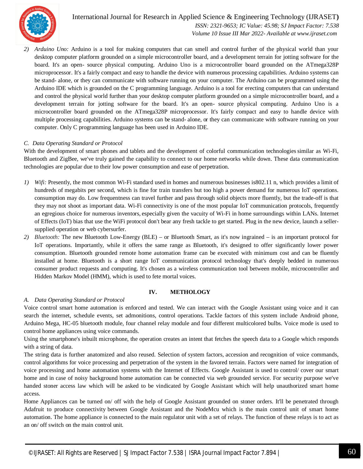

International Journal for Research in Applied Science & Engineering Technology (IJRASET**)**  *ISSN: 2321-9653; IC Value: 45.98; SJ Impact Factor: 7.538 Volume 10 Issue III Mar 2022- Available at www.ijraset.com*

*2) Arduino Uno:* Arduino is a tool for making computers that can smell and control further of the physical world than your desktop computer platform grounded on a simple microcontroller board, and a development terrain for jotting software for the board. It's an open- source physical computing. Arduino Uno is a microcontroller board grounded on the ATmega328P microprocessor. It's a fairly compact and easy to handle the device with numerous processing capabilities. Arduino systems can be stand- alone, or they can communicate with software running on your computer. The Arduino can be programmed using the Arduino IDE which is grounded on the C programming language. Arduino is a tool for erecting computers that can understand and control the physical world further than your desktop computer platform grounded on a simple microcontroller board, and a development terrain for jotting software for the board. It's an open- source physical computing. Arduino Uno is a microcontroller board grounded on the ATmega328P microprocessor. It's fairly compact and easy to handle device with multiple processing capabilities. Arduino systems can be stand- alone, or they can communicate with software running on your computer. Only C programming language has been used in Arduino IDE.

#### *C. Data Operating Standard or Protocol*

With the development of smart phones and tablets and the development of colorful communication technologies similar as Wi-Fi, Bluetooth and ZigBee, we've truly gained the capability to connect to our home networks while down. These data communication technologies are popular due to their low power consumption and ease of perpetration.

- *1) Wifi:* Presently, the most common Wi-Fi standard used in homes and numerous businesses is802.11 n, which provides a limit of hundreds of megabits per second, which is fine for train transfers but too high a power demand for numerous IoT operations. consumption may do. Low frequentness can travel further and pass through solid objects more fluently, but the trade-off is that they may not shoot as important data. Wi-Fi connectivity is one of the most popular IoT communication protocols, frequently an egregious choice for numerous inventors, especially given the vacuity of Wi-Fi in home surroundings within LANs. Internet of Effects (IoT) bias that use the WiFi protocol don't bear any fresh tackle to get started. Plug in the new device, launch a sellersupplied operation or web cybersurfer.
- *2) Bluetooth:* The new Bluetooth Low-Energy (BLE) or Bluetooth Smart, as it's now ingrained is an important protocol for IoT operations. Importantly, while it offers the same range as Bluetooth, it's designed to offer significantly lower power consumption. Bluetooth grounded remote home automation frame can be executed with minimum cost and can be fluently installed at home. Bluetooth is a short range IoT communication protocol technology that's deeply bedded in numerous consumer product requests and computing. It's chosen as a wireless communication tool between mobile, microcontroller and Hidden Markov Model (HMM), which is used to fete mortal voices.

#### **IV. METHOLOGY**

#### *A. Data Operating Standard or Protocol*

Voice control smart home automation is enforced and tested. We can interact with the Google Assistant using voice and it can search the internet, schedule events, set admonitions, control operations. Tackle factors of this system include Android phone, Arduino Mega, HC-05 bluetooth module, four channel relay module and four different multicolored bulbs. Voice mode is used to control home appliances using voice commands.

Using the smartphone's inbuilt microphone, the operation creates an intent that fetches the speech data to a Google which responds with a string of data.

The string data is further anatomized and also reused. Selection of system factors, accession and recognition of voice commands, control algorithms for voice processing and perpetration of the system in the favored terrain. Factors were named for integration of voice processing and home automation systems with the Internet of Effects. Google Assistant is used to control/ cover our smart home and in case of noisy background home automation can be connected via web grounded service. For security purpose we've handed stoner access law which will be asked to be vindicated by Google Assistant which will help unauthorized smart home access.

Home Appliances can be turned on/ off with the help of Google Assistant grounded on stoner orders. It'll be penetrated through Adafruit to produce connectivity between Google Assistant and the NodeMcu which is the main control unit of smart home automation. The home appliance is connected to the main regulator unit with a set of relays. The function of these relays is to act as an on/ off switch on the main control unit.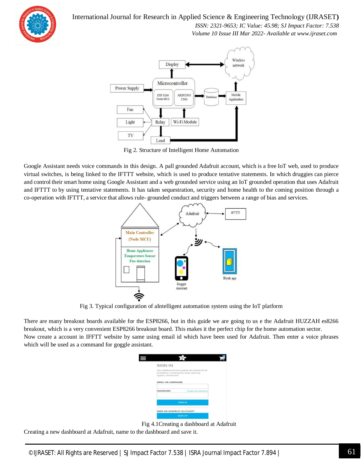

 *ISSN: 2321-9653; IC Value: 45.98; SJ Impact Factor: 7.538*

 *Volume 10 Issue III Mar 2022- Available at www.ijraset.com*



Fig 2. Structure of Intelligent Home Automation

Google Assistant needs voice commands in this design. A pall grounded Adafruit account, which is a free IoT web, used to produce virtual switches, is being linked to the IFTTT website, which is used to produce tentative statements. In which druggies can pierce and control their smart home using Google Assistant and a web grounded service using an IoT grounded operation that uses Adafruit and IFTTT to by using tentative statements. It has taken sequestration, security and home health to the coming position through a co-operation with IFTTT, a service that allows rule- grounded conduct and triggers between a range of bias and services.



Fig 3. Typical configuration of aIntelligent automation system using the IoT platform

There are many breakout boards available for the ESP8266, but in this guide we are going to us e the Adafruit HUZZAH es8266 breakout, which is a very convenient ESP8266 breakout board. This makes it the perfect chip for the home automation sector. Now create a account in IFFTT website by same using email id which have been used for Adafruit. Then enter a voice phrases which will be used as a command for goggle assistant.

| <b>SIGN IN</b>                                                                                                     |
|--------------------------------------------------------------------------------------------------------------------|
| Your Adafruit account grants you access to all<br>of Adafruit, including the shop, learning<br>system, and forums. |
| <b>EMAIL OR USERNAME</b>                                                                                           |
| PASSWORD<br>Forget your password?                                                                                  |
| <b>SIGN IN</b>                                                                                                     |
| NEED AN ADAFRUIT ACCOUNT?                                                                                          |
| <b>SIGN UP</b>                                                                                                     |

Fig 4.1Creating a dashboard at Adafruit

Creating a new dashboard at Adafruit, name to the dashboard and save it.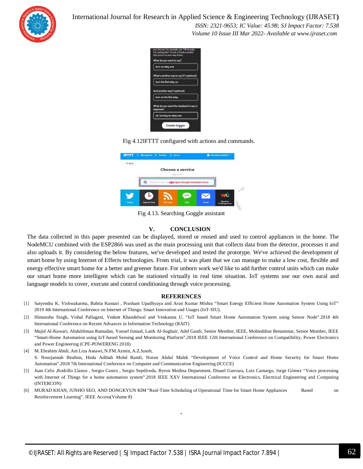

 *ISSN: 2321-9653; IC Value: 45.98; SJ Impact Factor: 7.538 Volume 10 Issue III Mar 2022- Available at www.ijraset.com*

|           | What do you want to say?                               |
|-----------|--------------------------------------------------------|
|           | turn on relay one                                      |
|           | What's another way to say it? (optional)               |
|           | turn the first relay on                                |
|           | And another way? (optional)<br>turn on the first relay |
| response? | What do you want the Assistant to say in               |
|           | ok, turning on relay one                               |

Fig 4.12IFTTT configured with actions and commands.

| $E$ Bock | S My Appleta IF Activity Q Search |                 |                                              |       |  |
|----------|-----------------------------------|-----------------|----------------------------------------------|-------|--|
|          |                                   |                 | Choose a service<br>Stop Talf &              |       |  |
|          |                                   |                 | Q Sourch services type Google Assistant here |       |  |
|          |                                   |                 | sms                                          |       |  |
| Territor | <b>Date &amp; Time</b>            | <b>RSS Faad</b> | <b>SMS</b>                                   | Email |  |

Fig 4.13. Searching Goggle assistant

#### **V. CONCLUSION**

The data collected in this paper presented can be displayed, stored or reused and used to control appliances in the home. The NodeMCU combined with the ESP2866 was used as the main processing unit that collects data from the detector, processes it and also uploads it. By considering the below features, we've developed and tested the prototype. We've achieved the development of smart home by using Internet of Effects technologies. From trial, it was plant that we can manage to make a low cost, flexible and energy effective smart home for a better and greener future. For unborn work we'd like to add further control units which can make our smart home more intelligent which can be stationed virtually in real time situation. IoT systems use our own aural and language models to cover, execute and control conditioning through voice processing.

#### **REFERENCES**

- [1] Satyendra K. Vishwakarma, Babita Kumari , Prashant Upadhyaya and Arun Kumar Mishra "Smart Energy Efficient Home Automation System Using IoT" 2019 4th International Conference on Internet of Things: Smart Innovation and Usages (IoT-SIU).
- [2] Himanshu Singh, Vishal Pallagani, Vedant Khandelwal and Venkanna U. "IoT based Smart Home Automation System using Sensor Node".2018 4th International Conference on Recent Advances in Information Technology (RAIT)
- [3] Majid Al-Kuwari, Abdulrhman Ramadan, Yousef Ismael, Laith Al-Sughair, Adel Gastli, Senior Member, IEEE, Mohieddine Benammar, Senior Member, IEEE "Smart-Home Automation using IoT-based Sensing and Monitoring Platform".2018 IEEE 12th International Conference on Compatibility, Power Electronics and Power Engineering (CPE-POWERENG 2018)
- [4] M. Ebrahim Abidi, Ani Liza Asnawi, N.FM.Azmin, A.Z.Jusoh, S. Noorjannah Ibrahim, Huda Adibah Mohd Ramli, Norun Abdul Malek "Development of Voice Control and Home Security for Smart Home Automation".2018 7th International Conference on Computer and Communication Engineering (ICCCE)
- [5] Juan Celis ,Rodrillo Llanos , Sergio Castro , Sergio Sepúlveda, Byron Medina Department, Dinael Guevara, Luis Camargo, Jorge Gómez "Voice processing with Internet of Things for a home automation system".2018 IEEE XXV International Conference on Electronics, Electrical Engineering and Computing (INTERCON)
- [6] MURAD KHAN, JUNHO SEO, AND DONGKYUN KIM "Real-Time Scheduling of Operational Time for Smart Home Appliances Based on Reinforcement Learning". IEEE Access(Volume 8)

**.**